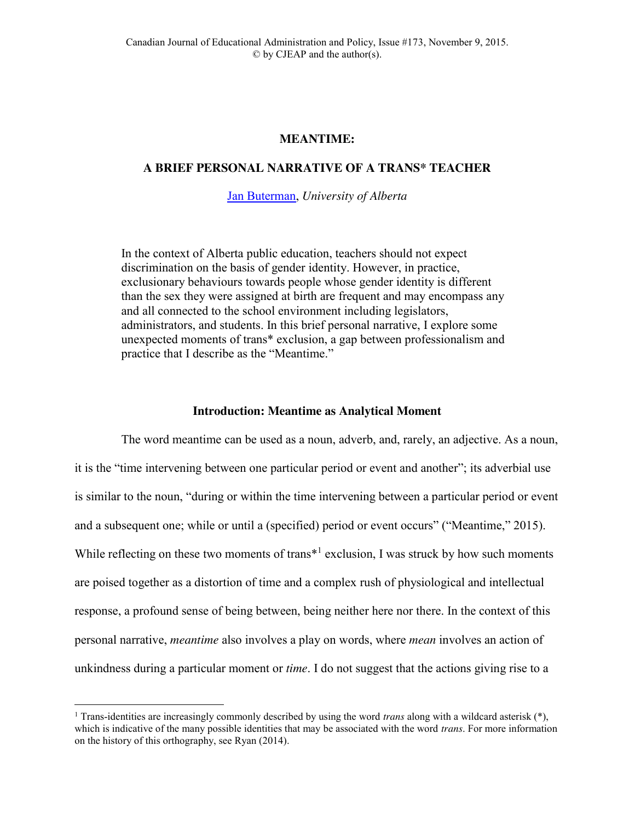# **MEANTIME:**

# **A BRIEF PERSONAL NARRATIVE OF A TRANS\* TEACHER**

[Jan Buterman,](mailto:buterman@ualberta.ca) *University of Alberta*

In the context of Alberta public education, teachers should not expect discrimination on the basis of gender identity. However, in practice, exclusionary behaviours towards people whose gender identity is different than the sex they were assigned at birth are frequent and may encompass any and all connected to the school environment including legislators, administrators, and students. In this brief personal narrative, I explore some unexpected moments of trans\* exclusion, a gap between professionalism and practice that I describe as the "Meantime."

## **Introduction: Meantime as Analytical Moment**

The word meantime can be used as a noun, adverb, and, rarely, an adjective. As a noun, it is the "time intervening between one particular period or event and another"; its adverbial use is similar to the noun, "during or within the time intervening between a particular period or event and a subsequent one; while or until a (specified) period or event occurs" ("Meantime," 2015). While reflecting on these two moments of trans<sup>\*1</sup> exclusion, I was struck by how such moments are poised together as a distortion of time and a complex rush of physiological and intellectual response, a profound sense of being between, being neither here nor there. In the context of this personal narrative, *meantime* also involves a play on words, where *mean* involves an action of unkindness during a particular moment or *time*. I do not suggest that the actions giving rise to a

 <sup>1</sup> Trans-identities are increasingly commonly described by using the word *trans* along with a wildcard asterisk (\*), which is indicative of the many possible identities that may be associated with the word *trans*. For more information on the history of this orthography, see Ryan (2014).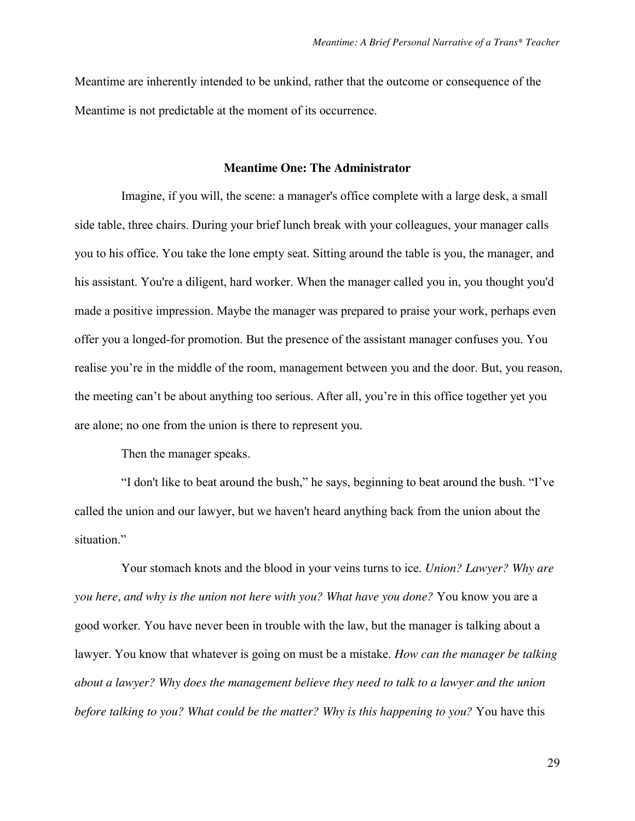Meantime are inherently intended to be unkind, rather that the outcome or consequence of the Meantime is not predictable at the moment of its occurrence.

### **Meantime One: The Administrator**

Imagine, if you will, the scene: a manager's office complete with a large desk, a small side table, three chairs. During your brief lunch break with your colleagues, your manager calls you to his office. You take the lone empty seat. Sitting around the table is you, the manager, and his assistant. You're a diligent, hard worker. When the manager called you in, you thought you'd made a positive impression. Maybe the manager was prepared to praise your work, perhaps even offer you a longed-for promotion. But the presence of the assistant manager confuses you. You realise you're in the middle of the room, management between you and the door. But, you reason, the meeting can't be about anything too serious. After all, you're in this office together yet you are alone; no one from the union is there to represent you.

Then the manager speaks.

"I don't like to beat around the bush," he says, beginning to beat around the bush. "I've called the union and our lawyer, but we haven't heard anything back from the union about the situation."

Your stomach knots and the blood in your veins turns to ice. *Union? Lawyer? Why are you here, and why is the union not here with you? What have you done?* You know you are a good worker. You have never been in trouble with the law, but the manager is talking about a lawyer. You know that whatever is going on must be a mistake. *How can the manager be talking about a lawyer? Why does the management believe they need to talk to a lawyer and the union before talking to you? What could be the matter? Why is this happening to you?* You have this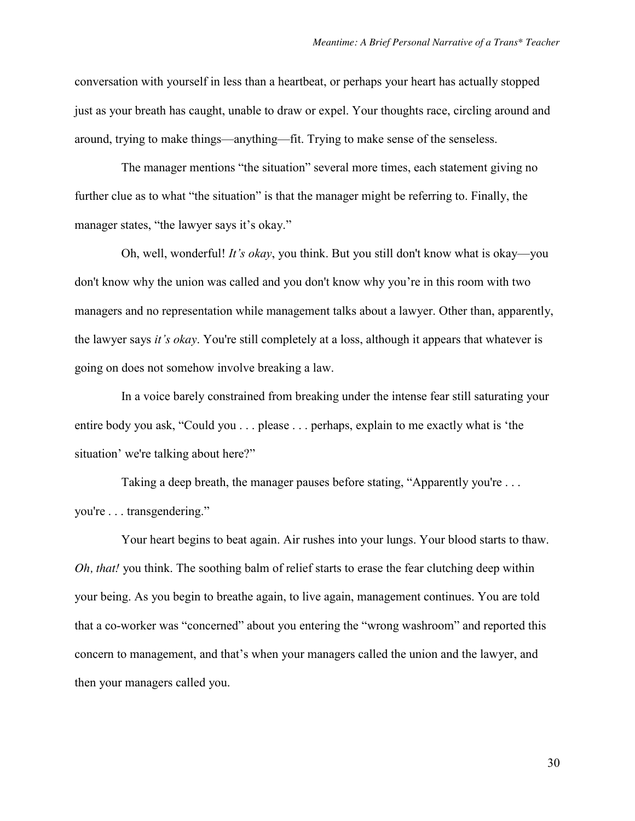conversation with yourself in less than a heartbeat, or perhaps your heart has actually stopped just as your breath has caught, unable to draw or expel. Your thoughts race, circling around and around, trying to make things—anything—fit. Trying to make sense of the senseless.

The manager mentions "the situation" several more times, each statement giving no further clue as to what "the situation" is that the manager might be referring to. Finally, the manager states, "the lawyer says it's okay."

Oh, well, wonderful! *It's okay*, you think. But you still don't know what is okay—you don't know why the union was called and you don't know why you're in this room with two managers and no representation while management talks about a lawyer. Other than, apparently, the lawyer says *it's okay*. You're still completely at a loss, although it appears that whatever is going on does not somehow involve breaking a law.

In a voice barely constrained from breaking under the intense fear still saturating your entire body you ask, "Could you . . . please . . . perhaps, explain to me exactly what is 'the situation' we're talking about here?"

Taking a deep breath, the manager pauses before stating, "Apparently you're . . . you're . . . transgendering."

Your heart begins to beat again. Air rushes into your lungs. Your blood starts to thaw. *Oh, that!* you think. The soothing balm of relief starts to erase the fear clutching deep within your being. As you begin to breathe again, to live again, management continues. You are told that a co-worker was "concerned" about you entering the "wrong washroom" and reported this concern to management, and that's when your managers called the union and the lawyer, and then your managers called you.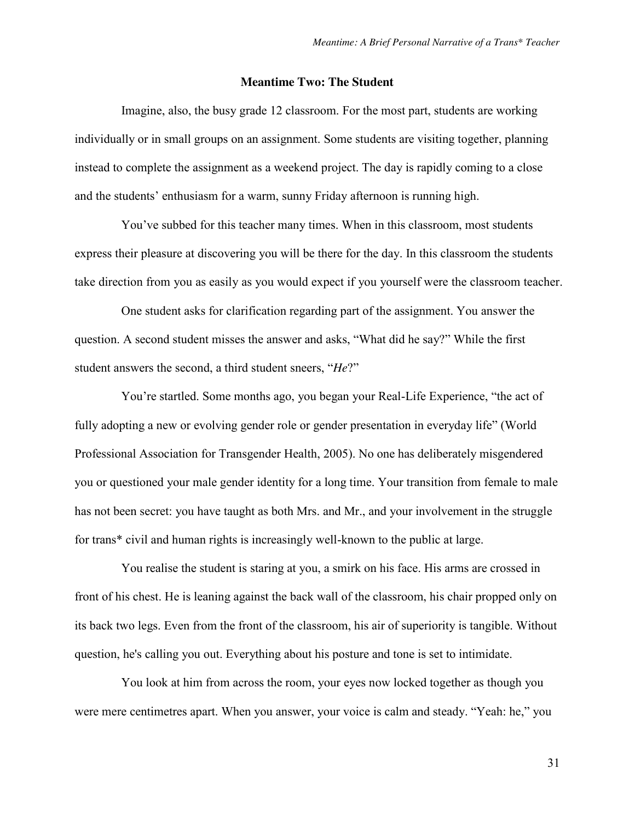# **Meantime Two: The Student**

Imagine, also, the busy grade 12 classroom. For the most part, students are working individually or in small groups on an assignment. Some students are visiting together, planning instead to complete the assignment as a weekend project. The day is rapidly coming to a close and the students' enthusiasm for a warm, sunny Friday afternoon is running high.

You've subbed for this teacher many times. When in this classroom, most students express their pleasure at discovering you will be there for the day. In this classroom the students take direction from you as easily as you would expect if you yourself were the classroom teacher.

One student asks for clarification regarding part of the assignment. You answer the question. A second student misses the answer and asks, "What did he say?" While the first student answers the second, a third student sneers, "*He*?"

You're startled. Some months ago, you began your Real-Life Experience, "the act of fully adopting a new or evolving gender role or gender presentation in everyday life" (World Professional Association for Transgender Health, 2005). No one has deliberately misgendered you or questioned your male gender identity for a long time. Your transition from female to male has not been secret: you have taught as both Mrs. and Mr., and your involvement in the struggle for trans\* civil and human rights is increasingly well-known to the public at large.

You realise the student is staring at you, a smirk on his face. His arms are crossed in front of his chest. He is leaning against the back wall of the classroom, his chair propped only on its back two legs. Even from the front of the classroom, his air of superiority is tangible. Without question, he's calling you out. Everything about his posture and tone is set to intimidate.

You look at him from across the room, your eyes now locked together as though you were mere centimetres apart. When you answer, your voice is calm and steady. "Yeah: he," you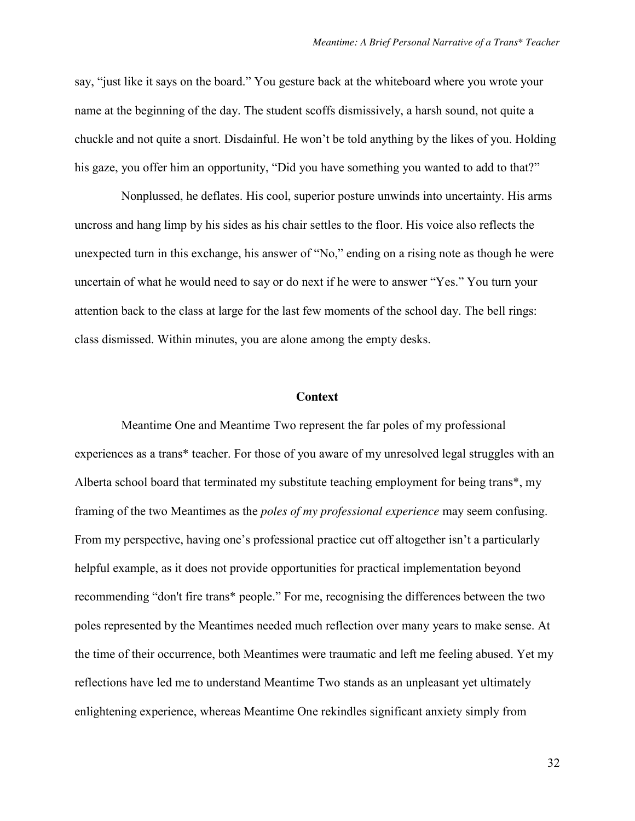say, "just like it says on the board." You gesture back at the whiteboard where you wrote your name at the beginning of the day. The student scoffs dismissively, a harsh sound, not quite a chuckle and not quite a snort. Disdainful. He won't be told anything by the likes of you. Holding his gaze, you offer him an opportunity, "Did you have something you wanted to add to that?"

Nonplussed, he deflates. His cool, superior posture unwinds into uncertainty. His arms uncross and hang limp by his sides as his chair settles to the floor. His voice also reflects the unexpected turn in this exchange, his answer of "No," ending on a rising note as though he were uncertain of what he would need to say or do next if he were to answer "Yes." You turn your attention back to the class at large for the last few moments of the school day. The bell rings: class dismissed. Within minutes, you are alone among the empty desks.

#### **Context**

Meantime One and Meantime Two represent the far poles of my professional experiences as a trans\* teacher. For those of you aware of my unresolved legal struggles with an Alberta school board that terminated my substitute teaching employment for being trans\*, my framing of the two Meantimes as the *poles of my professional experience* may seem confusing. From my perspective, having one's professional practice cut off altogether isn't a particularly helpful example, as it does not provide opportunities for practical implementation beyond recommending "don't fire trans\* people." For me, recognising the differences between the two poles represented by the Meantimes needed much reflection over many years to make sense. At the time of their occurrence, both Meantimes were traumatic and left me feeling abused. Yet my reflections have led me to understand Meantime Two stands as an unpleasant yet ultimately enlightening experience, whereas Meantime One rekindles significant anxiety simply from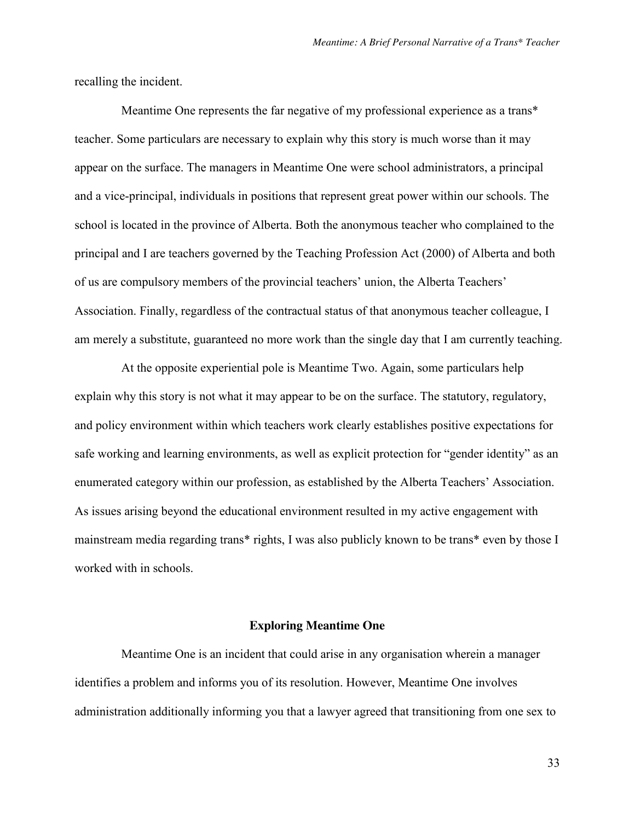recalling the incident.

Meantime One represents the far negative of my professional experience as a trans\* teacher. Some particulars are necessary to explain why this story is much worse than it may appear on the surface. The managers in Meantime One were school administrators, a principal and a vice-principal, individuals in positions that represent great power within our schools. The school is located in the province of Alberta. Both the anonymous teacher who complained to the principal and I are teachers governed by the Teaching Profession Act (2000) of Alberta and both of us are compulsory members of the provincial teachers' union, the Alberta Teachers' Association. Finally, regardless of the contractual status of that anonymous teacher colleague, I am merely a substitute, guaranteed no more work than the single day that I am currently teaching.

At the opposite experiential pole is Meantime Two. Again, some particulars help explain why this story is not what it may appear to be on the surface. The statutory, regulatory, and policy environment within which teachers work clearly establishes positive expectations for safe working and learning environments, as well as explicit protection for "gender identity" as an enumerated category within our profession, as established by the Alberta Teachers' Association. As issues arising beyond the educational environment resulted in my active engagement with mainstream media regarding trans\* rights, I was also publicly known to be trans\* even by those I worked with in schools.

#### **Exploring Meantime One**

Meantime One is an incident that could arise in any organisation wherein a manager identifies a problem and informs you of its resolution. However, Meantime One involves administration additionally informing you that a lawyer agreed that transitioning from one sex to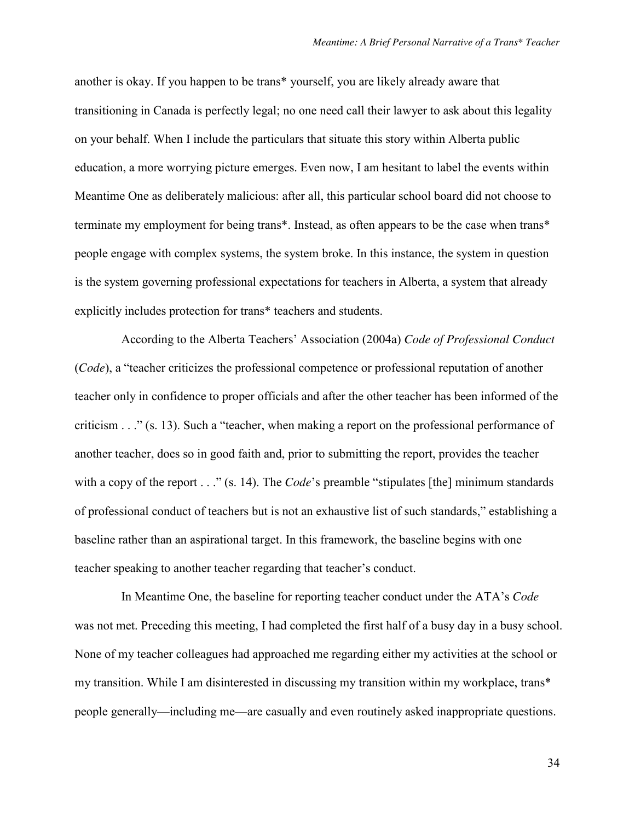another is okay. If you happen to be trans\* yourself, you are likely already aware that transitioning in Canada is perfectly legal; no one need call their lawyer to ask about this legality on your behalf. When I include the particulars that situate this story within Alberta public education, a more worrying picture emerges. Even now, I am hesitant to label the events within Meantime One as deliberately malicious: after all, this particular school board did not choose to terminate my employment for being trans\*. Instead, as often appears to be the case when trans\* people engage with complex systems, the system broke. In this instance, the system in question is the system governing professional expectations for teachers in Alberta, a system that already explicitly includes protection for trans\* teachers and students.

According to the Alberta Teachers' Association (2004a) *Code of Professional Conduct* (*Code*), a "teacher criticizes the professional competence or professional reputation of another teacher only in confidence to proper officials and after the other teacher has been informed of the criticism . . ." (s. 13). Such a "teacher, when making a report on the professional performance of another teacher, does so in good faith and, prior to submitting the report, provides the teacher with a copy of the report . . ." (s. 14). The *Code*'s preamble "stipulates [the] minimum standards of professional conduct of teachers but is not an exhaustive list of such standards," establishing a baseline rather than an aspirational target. In this framework, the baseline begins with one teacher speaking to another teacher regarding that teacher's conduct.

In Meantime One, the baseline for reporting teacher conduct under the ATA's *Code* was not met. Preceding this meeting, I had completed the first half of a busy day in a busy school. None of my teacher colleagues had approached me regarding either my activities at the school or my transition. While I am disinterested in discussing my transition within my workplace, trans\* people generally—including me—are casually and even routinely asked inappropriate questions.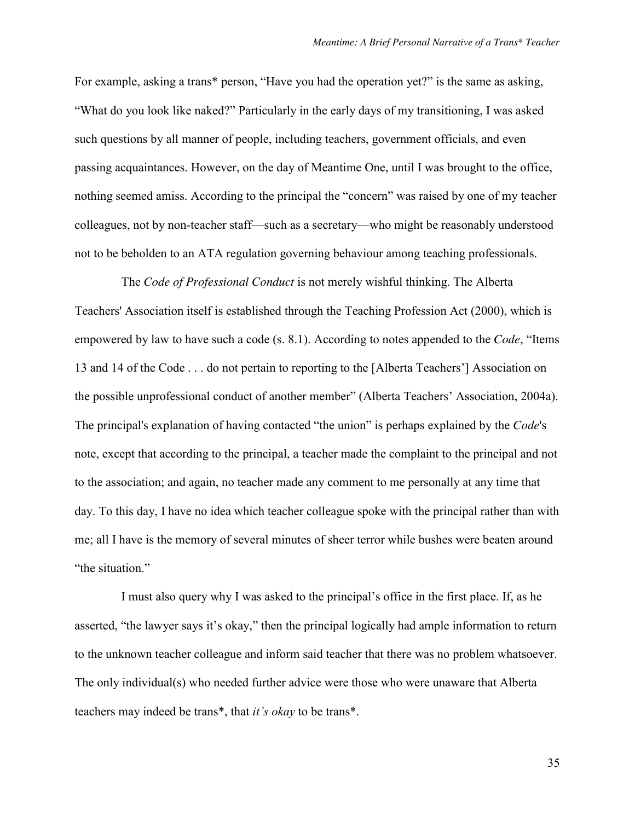For example, asking a trans\* person, "Have you had the operation yet?" is the same as asking, "What do you look like naked?" Particularly in the early days of my transitioning, I was asked such questions by all manner of people, including teachers, government officials, and even passing acquaintances. However, on the day of Meantime One, until I was brought to the office, nothing seemed amiss. According to the principal the "concern" was raised by one of my teacher colleagues, not by non-teacher staff—such as a secretary—who might be reasonably understood not to be beholden to an ATA regulation governing behaviour among teaching professionals.

The *Code of Professional Conduct* is not merely wishful thinking. The Alberta Teachers' Association itself is established through the Teaching Profession Act (2000), which is empowered by law to have such a code (s. 8.1). According to notes appended to the *Code*, "Items 13 and 14 of the Code . . . do not pertain to reporting to the [Alberta Teachers'] Association on the possible unprofessional conduct of another member" (Alberta Teachers' Association, 2004a). The principal's explanation of having contacted "the union" is perhaps explained by the *Code*'s note, except that according to the principal, a teacher made the complaint to the principal and not to the association; and again, no teacher made any comment to me personally at any time that day. To this day, I have no idea which teacher colleague spoke with the principal rather than with me; all I have is the memory of several minutes of sheer terror while bushes were beaten around "the situation."

I must also query why I was asked to the principal's office in the first place. If, as he asserted, "the lawyer says it's okay," then the principal logically had ample information to return to the unknown teacher colleague and inform said teacher that there was no problem whatsoever. The only individual(s) who needed further advice were those who were unaware that Alberta teachers may indeed be trans\*, that *it's okay* to be trans\*.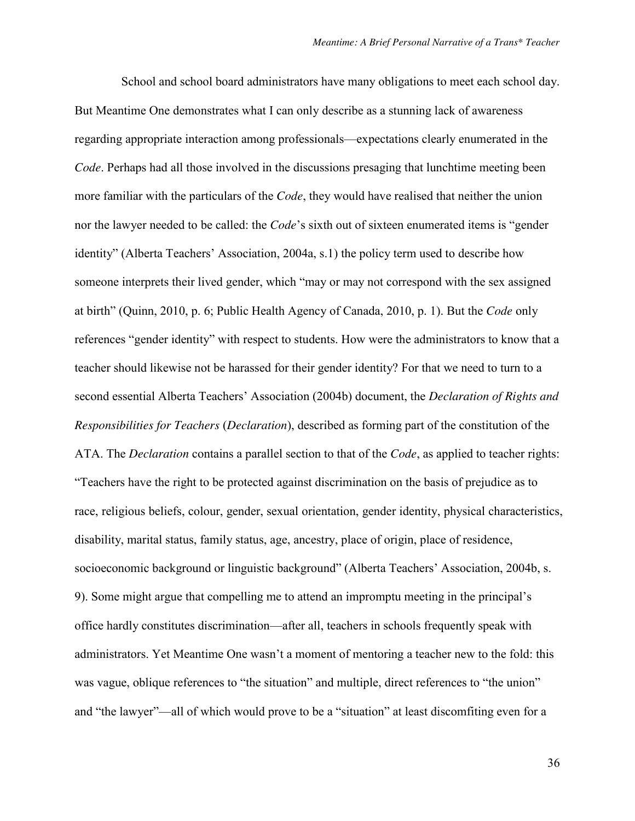School and school board administrators have many obligations to meet each school day. But Meantime One demonstrates what I can only describe as a stunning lack of awareness regarding appropriate interaction among professionals—expectations clearly enumerated in the *Code*. Perhaps had all those involved in the discussions presaging that lunchtime meeting been more familiar with the particulars of the *Code*, they would have realised that neither the union nor the lawyer needed to be called: the *Code*'s sixth out of sixteen enumerated items is "gender identity" (Alberta Teachers' Association, 2004a, s.1) the policy term used to describe how someone interprets their lived gender, which "may or may not correspond with the sex assigned at birth" (Quinn, 2010, p. 6; Public Health Agency of Canada, 2010, p. 1). But the *Code* only references "gender identity" with respect to students. How were the administrators to know that a teacher should likewise not be harassed for their gender identity? For that we need to turn to a second essential Alberta Teachers' Association (2004b) document, the *Declaration of Rights and Responsibilities for Teachers* (*Declaration*), described as forming part of the constitution of the ATA. The *Declaration* contains a parallel section to that of the *Code*, as applied to teacher rights: "Teachers have the right to be protected against discrimination on the basis of prejudice as to race, religious beliefs, colour, gender, sexual orientation, gender identity, physical characteristics, disability, marital status, family status, age, ancestry, place of origin, place of residence, socioeconomic background or linguistic background" (Alberta Teachers' Association, 2004b, s. 9). Some might argue that compelling me to attend an impromptu meeting in the principal's office hardly constitutes discrimination—after all, teachers in schools frequently speak with administrators. Yet Meantime One wasn't a moment of mentoring a teacher new to the fold: this was vague, oblique references to "the situation" and multiple, direct references to "the union" and "the lawyer"—all of which would prove to be a "situation" at least discomfiting even for a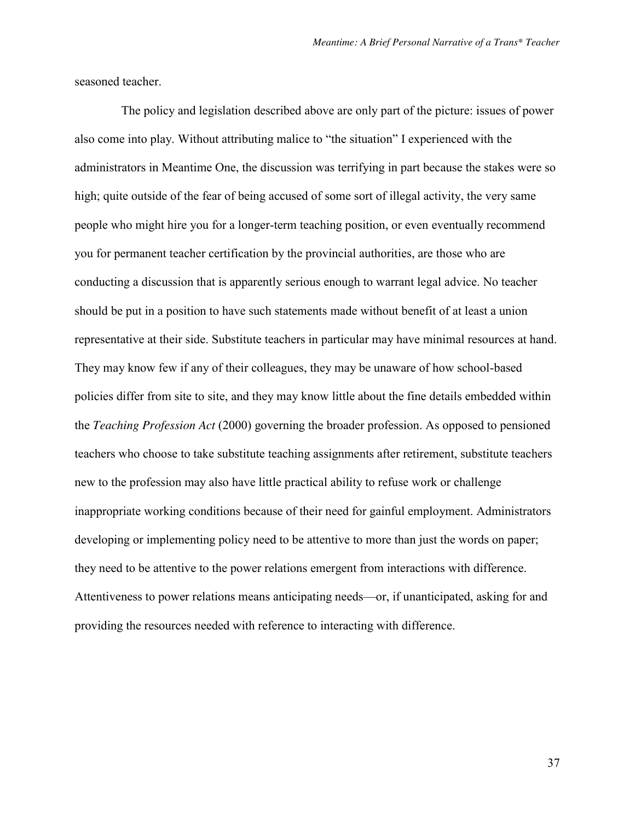seasoned teacher.

The policy and legislation described above are only part of the picture: issues of power also come into play. Without attributing malice to "the situation" I experienced with the administrators in Meantime One, the discussion was terrifying in part because the stakes were so high; quite outside of the fear of being accused of some sort of illegal activity, the very same people who might hire you for a longer-term teaching position, or even eventually recommend you for permanent teacher certification by the provincial authorities, are those who are conducting a discussion that is apparently serious enough to warrant legal advice. No teacher should be put in a position to have such statements made without benefit of at least a union representative at their side. Substitute teachers in particular may have minimal resources at hand. They may know few if any of their colleagues, they may be unaware of how school-based policies differ from site to site, and they may know little about the fine details embedded within the *Teaching Profession Act* (2000) governing the broader profession. As opposed to pensioned teachers who choose to take substitute teaching assignments after retirement, substitute teachers new to the profession may also have little practical ability to refuse work or challenge inappropriate working conditions because of their need for gainful employment. Administrators developing or implementing policy need to be attentive to more than just the words on paper; they need to be attentive to the power relations emergent from interactions with difference. Attentiveness to power relations means anticipating needs—or, if unanticipated, asking for and providing the resources needed with reference to interacting with difference.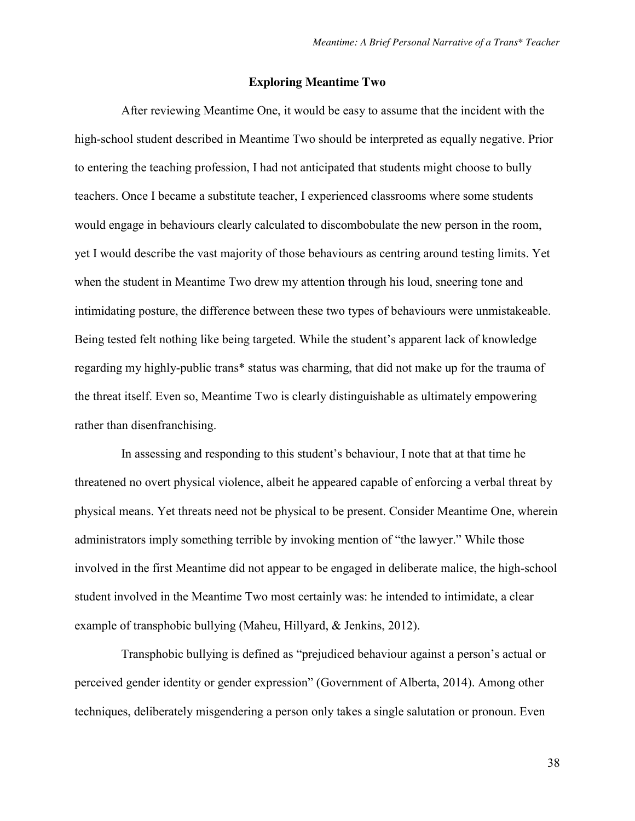### **Exploring Meantime Two**

After reviewing Meantime One, it would be easy to assume that the incident with the high-school student described in Meantime Two should be interpreted as equally negative. Prior to entering the teaching profession, I had not anticipated that students might choose to bully teachers. Once I became a substitute teacher, I experienced classrooms where some students would engage in behaviours clearly calculated to discombobulate the new person in the room, yet I would describe the vast majority of those behaviours as centring around testing limits. Yet when the student in Meantime Two drew my attention through his loud, sneering tone and intimidating posture, the difference between these two types of behaviours were unmistakeable. Being tested felt nothing like being targeted. While the student's apparent lack of knowledge regarding my highly-public trans\* status was charming, that did not make up for the trauma of the threat itself. Even so, Meantime Two is clearly distinguishable as ultimately empowering rather than disenfranchising.

In assessing and responding to this student's behaviour, I note that at that time he threatened no overt physical violence, albeit he appeared capable of enforcing a verbal threat by physical means. Yet threats need not be physical to be present. Consider Meantime One, wherein administrators imply something terrible by invoking mention of "the lawyer." While those involved in the first Meantime did not appear to be engaged in deliberate malice, the high-school student involved in the Meantime Two most certainly was: he intended to intimidate, a clear example of transphobic bullying (Maheu, Hillyard, & Jenkins, 2012).

Transphobic bullying is defined as "prejudiced behaviour against a person's actual or perceived gender identity or gender expression" (Government of Alberta, 2014). Among other techniques, deliberately misgendering a person only takes a single salutation or pronoun. Even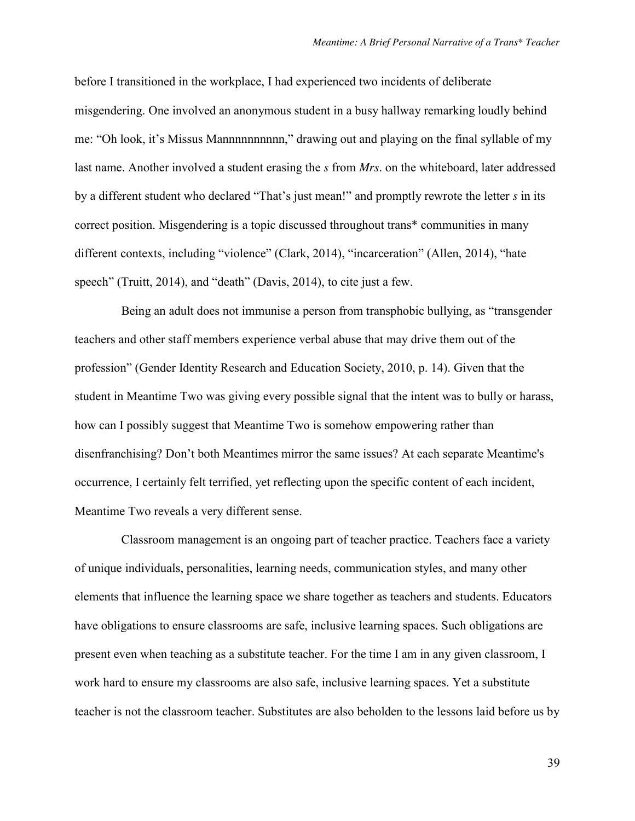before I transitioned in the workplace, I had experienced two incidents of deliberate misgendering. One involved an anonymous student in a busy hallway remarking loudly behind me: "Oh look, it's Missus Mannnnnnnnnnnnn," drawing out and playing on the final syllable of my last name. Another involved a student erasing the *s* from *Mrs*. on the whiteboard, later addressed by a different student who declared "That's just mean!" and promptly rewrote the letter *s* in its correct position. Misgendering is a topic discussed throughout trans\* communities in many different contexts, including "violence" (Clark, 2014), "incarceration" (Allen, 2014), "hate speech" (Truitt, 2014), and "death" (Davis, 2014), to cite just a few.

Being an adult does not immunise a person from transphobic bullying, as "transgender teachers and other staff members experience verbal abuse that may drive them out of the profession" (Gender Identity Research and Education Society, 2010, p. 14). Given that the student in Meantime Two was giving every possible signal that the intent was to bully or harass, how can I possibly suggest that Meantime Two is somehow empowering rather than disenfranchising? Don't both Meantimes mirror the same issues? At each separate Meantime's occurrence, I certainly felt terrified, yet reflecting upon the specific content of each incident, Meantime Two reveals a very different sense.

Classroom management is an ongoing part of teacher practice. Teachers face a variety of unique individuals, personalities, learning needs, communication styles, and many other elements that influence the learning space we share together as teachers and students. Educators have obligations to ensure classrooms are safe, inclusive learning spaces. Such obligations are present even when teaching as a substitute teacher. For the time I am in any given classroom, I work hard to ensure my classrooms are also safe, inclusive learning spaces. Yet a substitute teacher is not the classroom teacher. Substitutes are also beholden to the lessons laid before us by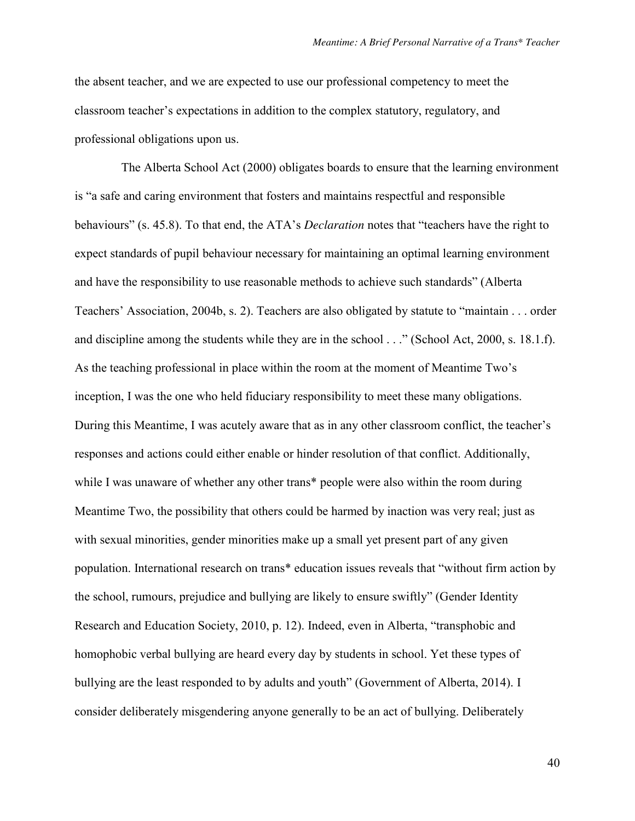the absent teacher, and we are expected to use our professional competency to meet the classroom teacher's expectations in addition to the complex statutory, regulatory, and professional obligations upon us.

The Alberta School Act (2000) obligates boards to ensure that the learning environment is "a safe and caring environment that fosters and maintains respectful and responsible behaviours" (s. 45.8). To that end, the ATA's *Declaration* notes that "teachers have the right to expect standards of pupil behaviour necessary for maintaining an optimal learning environment and have the responsibility to use reasonable methods to achieve such standards" (Alberta Teachers' Association, 2004b, s. 2). Teachers are also obligated by statute to "maintain . . . order and discipline among the students while they are in the school . . ." (School Act, 2000, s. 18.1.f). As the teaching professional in place within the room at the moment of Meantime Two's inception, I was the one who held fiduciary responsibility to meet these many obligations. During this Meantime, I was acutely aware that as in any other classroom conflict, the teacher's responses and actions could either enable or hinder resolution of that conflict. Additionally, while I was unaware of whether any other trans\* people were also within the room during Meantime Two, the possibility that others could be harmed by inaction was very real; just as with sexual minorities, gender minorities make up a small yet present part of any given population. International research on trans\* education issues reveals that "without firm action by the school, rumours, prejudice and bullying are likely to ensure swiftly" (Gender Identity Research and Education Society, 2010, p. 12). Indeed, even in Alberta, "transphobic and homophobic verbal bullying are heard every day by students in school. Yet these types of bullying are the least responded to by adults and youth" (Government of Alberta, 2014). I consider deliberately misgendering anyone generally to be an act of bullying. Deliberately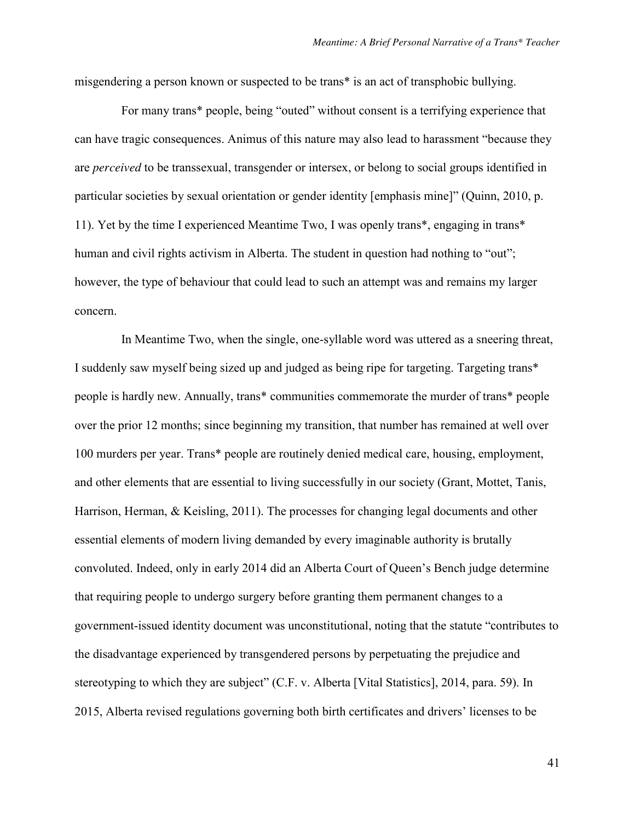misgendering a person known or suspected to be trans\* is an act of transphobic bullying.

For many trans\* people, being "outed" without consent is a terrifying experience that can have tragic consequences. Animus of this nature may also lead to harassment "because they are *perceived* to be transsexual, transgender or intersex, or belong to social groups identified in particular societies by sexual orientation or gender identity [emphasis mine]" (Quinn, 2010, p. 11). Yet by the time I experienced Meantime Two, I was openly trans\*, engaging in trans\* human and civil rights activism in Alberta. The student in question had nothing to "out"; however, the type of behaviour that could lead to such an attempt was and remains my larger concern.

In Meantime Two, when the single, one-syllable word was uttered as a sneering threat, I suddenly saw myself being sized up and judged as being ripe for targeting. Targeting trans\* people is hardly new. Annually, trans\* communities commemorate the murder of trans\* people over the prior 12 months; since beginning my transition, that number has remained at well over 100 murders per year. Trans\* people are routinely denied medical care, housing, employment, and other elements that are essential to living successfully in our society (Grant, Mottet, Tanis, Harrison, Herman, & Keisling, 2011). The processes for changing legal documents and other essential elements of modern living demanded by every imaginable authority is brutally convoluted. Indeed, only in early 2014 did an Alberta Court of Queen's Bench judge determine that requiring people to undergo surgery before granting them permanent changes to a government-issued identity document was unconstitutional, noting that the statute "contributes to the disadvantage experienced by transgendered persons by perpetuating the prejudice and stereotyping to which they are subject" (C.F. v. Alberta [Vital Statistics], 2014, para. 59). In 2015, Alberta revised regulations governing both birth certificates and drivers' licenses to be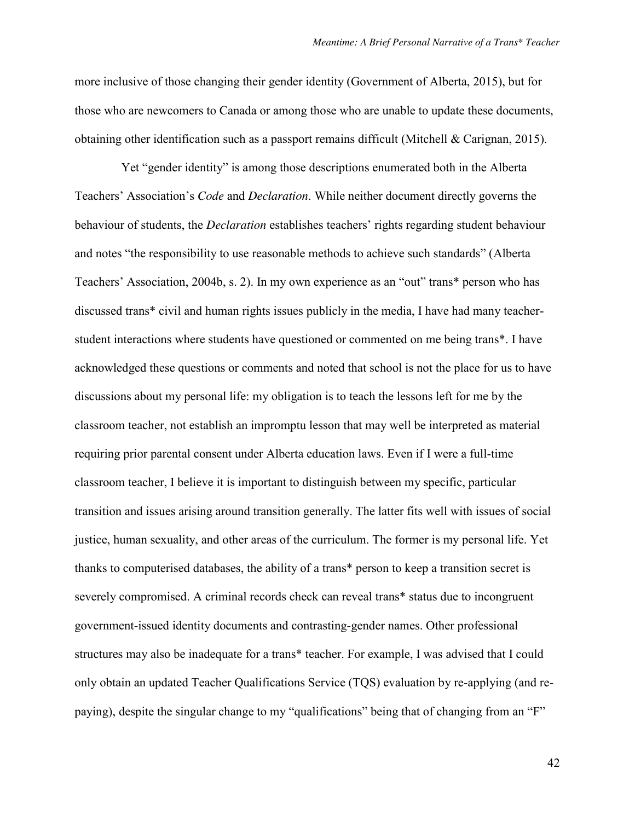more inclusive of those changing their gender identity (Government of Alberta, 2015), but for those who are newcomers to Canada or among those who are unable to update these documents, obtaining other identification such as a passport remains difficult (Mitchell & Carignan, 2015).

Yet "gender identity" is among those descriptions enumerated both in the Alberta Teachers' Association's *Code* and *Declaration*. While neither document directly governs the behaviour of students, the *Declaration* establishes teachers' rights regarding student behaviour and notes "the responsibility to use reasonable methods to achieve such standards" (Alberta Teachers' Association, 2004b, s. 2). In my own experience as an "out" trans\* person who has discussed trans\* civil and human rights issues publicly in the media, I have had many teacherstudent interactions where students have questioned or commented on me being trans\*. I have acknowledged these questions or comments and noted that school is not the place for us to have discussions about my personal life: my obligation is to teach the lessons left for me by the classroom teacher, not establish an impromptu lesson that may well be interpreted as material requiring prior parental consent under Alberta education laws. Even if I were a full-time classroom teacher, I believe it is important to distinguish between my specific, particular transition and issues arising around transition generally. The latter fits well with issues of social justice, human sexuality, and other areas of the curriculum. The former is my personal life. Yet thanks to computerised databases, the ability of a trans\* person to keep a transition secret is severely compromised. A criminal records check can reveal trans\* status due to incongruent government-issued identity documents and contrasting-gender names. Other professional structures may also be inadequate for a trans\* teacher. For example, I was advised that I could only obtain an updated Teacher Qualifications Service (TQS) evaluation by re-applying (and repaying), despite the singular change to my "qualifications" being that of changing from an "F"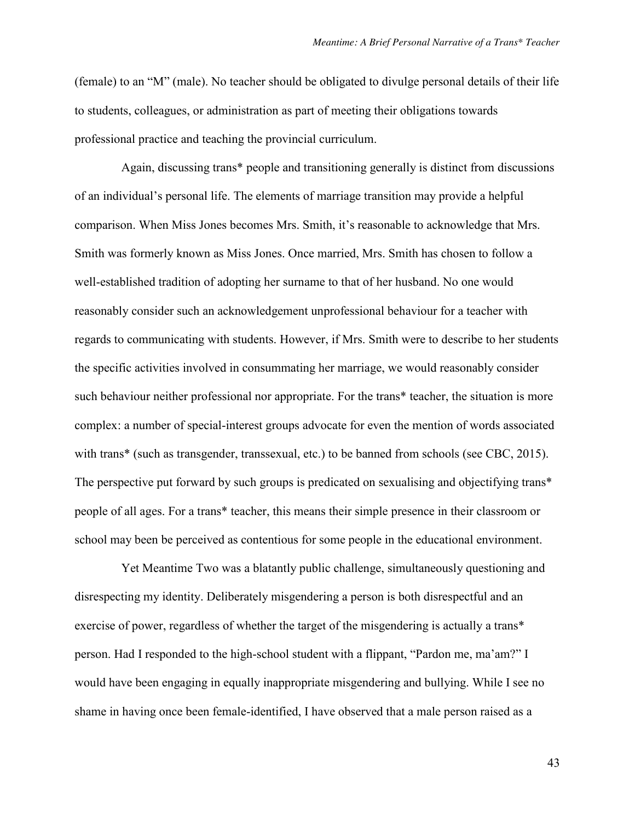(female) to an "M" (male). No teacher should be obligated to divulge personal details of their life to students, colleagues, or administration as part of meeting their obligations towards professional practice and teaching the provincial curriculum.

Again, discussing trans\* people and transitioning generally is distinct from discussions of an individual's personal life. The elements of marriage transition may provide a helpful comparison. When Miss Jones becomes Mrs. Smith, it's reasonable to acknowledge that Mrs. Smith was formerly known as Miss Jones. Once married, Mrs. Smith has chosen to follow a well-established tradition of adopting her surname to that of her husband. No one would reasonably consider such an acknowledgement unprofessional behaviour for a teacher with regards to communicating with students. However, if Mrs. Smith were to describe to her students the specific activities involved in consummating her marriage, we would reasonably consider such behaviour neither professional nor appropriate. For the trans\* teacher, the situation is more complex: a number of special-interest groups advocate for even the mention of words associated with trans\* (such as transgender, transsexual, etc.) to be banned from schools (see CBC, 2015). The perspective put forward by such groups is predicated on sexualising and objectifying trans\* people of all ages. For a trans\* teacher, this means their simple presence in their classroom or school may been be perceived as contentious for some people in the educational environment.

Yet Meantime Two was a blatantly public challenge, simultaneously questioning and disrespecting my identity. Deliberately misgendering a person is both disrespectful and an exercise of power, regardless of whether the target of the misgendering is actually a trans\* person. Had I responded to the high-school student with a flippant, "Pardon me, ma'am?" I would have been engaging in equally inappropriate misgendering and bullying. While I see no shame in having once been female-identified, I have observed that a male person raised as a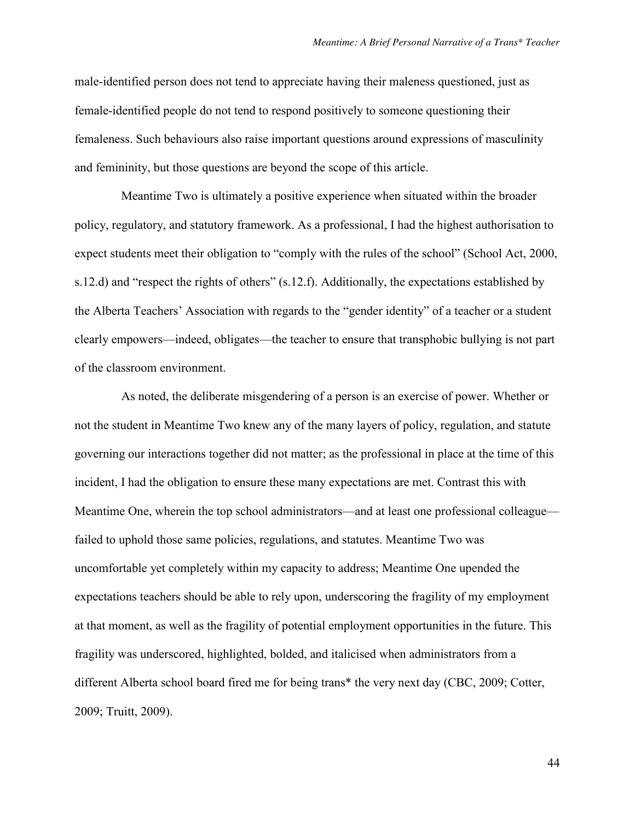male-identified person does not tend to appreciate having their maleness questioned, just as female-identified people do not tend to respond positively to someone questioning their femaleness. Such behaviours also raise important questions around expressions of masculinity and femininity, but those questions are beyond the scope of this article.

Meantime Two is ultimately a positive experience when situated within the broader policy, regulatory, and statutory framework. As a professional, I had the highest authorisation to expect students meet their obligation to "comply with the rules of the school" (School Act, 2000, s.12.d) and "respect the rights of others" (s.12.f). Additionally, the expectations established by the Alberta Teachers' Association with regards to the "gender identity" of a teacher or a student clearly empowers—indeed, obligates—the teacher to ensure that transphobic bullying is not part of the classroom environment.

As noted, the deliberate misgendering of a person is an exercise of power. Whether or not the student in Meantime Two knew any of the many layers of policy, regulation, and statute governing our interactions together did not matter; as the professional in place at the time of this incident, I had the obligation to ensure these many expectations are met. Contrast this with Meantime One, wherein the top school administrators—and at least one professional colleague failed to uphold those same policies, regulations, and statutes. Meantime Two was uncomfortable yet completely within my capacity to address; Meantime One upended the expectations teachers should be able to rely upon, underscoring the fragility of my employment at that moment, as well as the fragility of potential employment opportunities in the future. This fragility was underscored, highlighted, bolded, and italicised when administrators from a different Alberta school board fired me for being trans\* the very next day (CBC, 2009; Cotter, 2009; Truitt, 2009).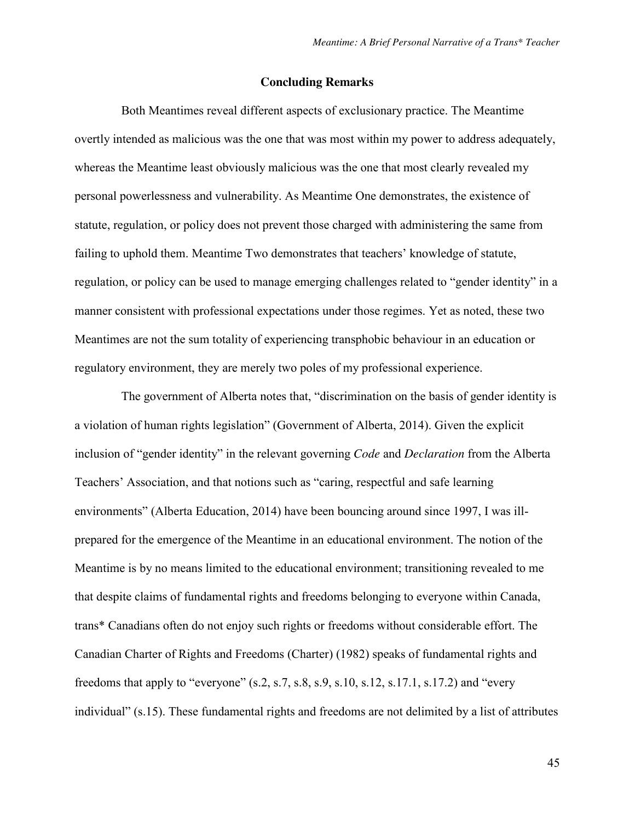### **Concluding Remarks**

Both Meantimes reveal different aspects of exclusionary practice. The Meantime overtly intended as malicious was the one that was most within my power to address adequately, whereas the Meantime least obviously malicious was the one that most clearly revealed my personal powerlessness and vulnerability. As Meantime One demonstrates, the existence of statute, regulation, or policy does not prevent those charged with administering the same from failing to uphold them. Meantime Two demonstrates that teachers' knowledge of statute, regulation, or policy can be used to manage emerging challenges related to "gender identity" in a manner consistent with professional expectations under those regimes. Yet as noted, these two Meantimes are not the sum totality of experiencing transphobic behaviour in an education or regulatory environment, they are merely two poles of my professional experience.

The government of Alberta notes that, "discrimination on the basis of gender identity is a violation of human rights legislation" (Government of Alberta, 2014). Given the explicit inclusion of "gender identity" in the relevant governing *Code* and *Declaration* from the Alberta Teachers' Association, and that notions such as "caring, respectful and safe learning environments" (Alberta Education, 2014) have been bouncing around since 1997, I was illprepared for the emergence of the Meantime in an educational environment. The notion of the Meantime is by no means limited to the educational environment; transitioning revealed to me that despite claims of fundamental rights and freedoms belonging to everyone within Canada, trans\* Canadians often do not enjoy such rights or freedoms without considerable effort. The Canadian Charter of Rights and Freedoms (Charter) (1982) speaks of fundamental rights and freedoms that apply to "everyone"  $(s.2, s.7, s.8, s.9, s.10, s.12, s.17.1, s.17.2)$  and "every individual" (s.15). These fundamental rights and freedoms are not delimited by a list of attributes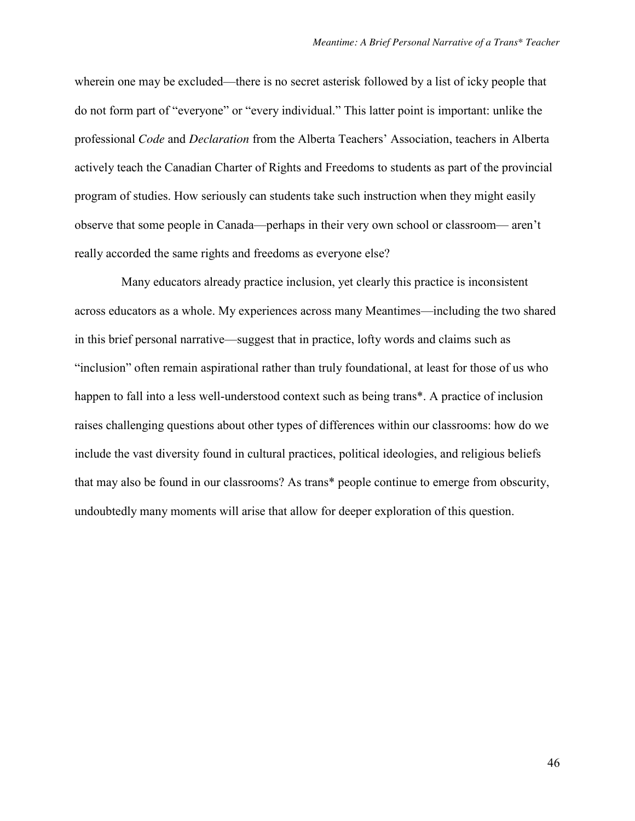wherein one may be excluded—there is no secret asterisk followed by a list of icky people that do not form part of "everyone" or "every individual." This latter point is important: unlike the professional *Code* and *Declaration* from the Alberta Teachers' Association, teachers in Alberta actively teach the Canadian Charter of Rights and Freedoms to students as part of the provincial program of studies. How seriously can students take such instruction when they might easily observe that some people in Canada—perhaps in their very own school or classroom— aren't really accorded the same rights and freedoms as everyone else?

Many educators already practice inclusion, yet clearly this practice is inconsistent across educators as a whole. My experiences across many Meantimes—including the two shared in this brief personal narrative—suggest that in practice, lofty words and claims such as "inclusion" often remain aspirational rather than truly foundational, at least for those of us who happen to fall into a less well-understood context such as being trans\*. A practice of inclusion raises challenging questions about other types of differences within our classrooms: how do we include the vast diversity found in cultural practices, political ideologies, and religious beliefs that may also be found in our classrooms? As trans\* people continue to emerge from obscurity, undoubtedly many moments will arise that allow for deeper exploration of this question.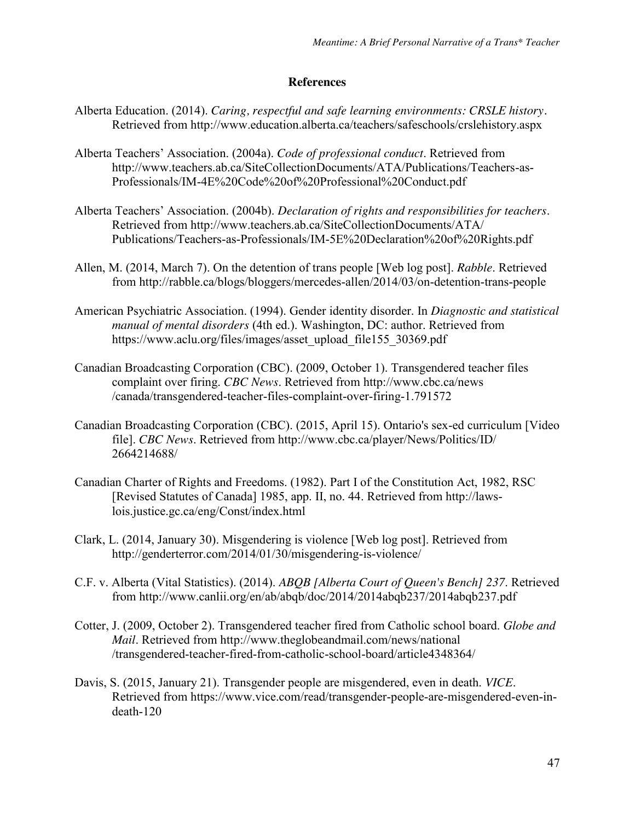# **References**

- Alberta Education. (2014). *Caring, respectful and safe learning environments: CRSLE history.*  Retrieved from http://www.education.alberta.ca/teachers/safeschools/crslehistory.aspx
- Alberta Teachers' Association. (2004a). *Code of professional conduct*. Retrieved from http://www.teachers.ab.ca/SiteCollectionDocuments/ATA/Publications/Teachers-as-Professionals/IM-4E%20Code%20of%20Professional%20Conduct.pdf
- Alberta Teachers' Association. (2004b). *Declaration of rights and responsibilities for teachers*. Retrieved from http://www.teachers.ab.ca/SiteCollectionDocuments/ATA/ Publications/Teachers-as-Professionals/IM-5E%20Declaration%20of%20Rights.pdf
- Allen, M. (2014, March 7). On the detention of trans people [Web log post]. *Rabble*. Retrieved from http://rabble.ca/blogs/bloggers/mercedes-allen/2014/03/on-detention-trans-people
- American Psychiatric Association. (1994). Gender identity disorder. In *Diagnostic and statistical manual of mental disorders* (4th ed.). Washington, DC: author. Retrieved from https://www.aclu.org/files/images/asset\_upload\_file155\_30369.pdf
- Canadian Broadcasting Corporation (CBC). (2009, October 1). Transgendered teacher files complaint over firing. *CBC News*. Retrieved from http://www.cbc.ca/news /canada/transgendered-teacher-files-complaint-over-firing-1.791572
- Canadian Broadcasting Corporation (CBC). (2015, April 15). Ontario's sex-ed curriculum [Video file]. *CBC News*. Retrieved from http://www.cbc.ca/player/News/Politics/ID/ 2664214688/
- Canadian Charter of Rights and Freedoms. (1982). Part I of the Constitution Act, 1982, RSC [Revised Statutes of Canada] 1985, app. II, no. 44. Retrieved from http://lawslois.justice.gc.ca/eng/Const/index.html
- Clark, L. (2014, January 30). Misgendering is violence [Web log post]. Retrieved from http://genderterror.com/2014/01/30/misgendering-is-violence/
- C.F. v. Alberta (Vital Statistics). (2014). *ABQB [Alberta Court of Queen's Bench] 237*. Retrieved from http://www.canlii.org/en/ab/abqb/doc/2014/2014abqb237/2014abqb237.pdf
- Cotter, J. (2009, October 2). Transgendered teacher fired from Catholic school board. *Globe and Mail*. Retrieved from http://www.theglobeandmail.com/news/national /transgendered-teacher-fired-from-catholic-school-board/article4348364/
- Davis, S. (2015, January 21). Transgender people are misgendered, even in death. *VICE*. Retrieved from https://www.vice.com/read/transgender-people-are-misgendered-even-indeath-120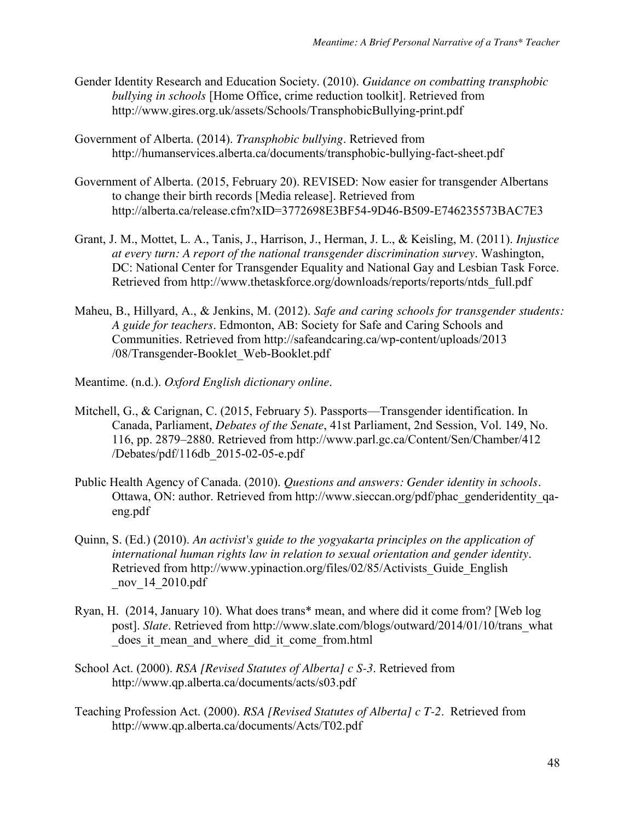- Gender Identity Research and Education Society. (2010). *Guidance on combatting transphobic bullying in schools* [Home Office, crime reduction toolkit]. Retrieved from http://www.gires.org.uk/assets/Schools/TransphobicBullying-print.pdf
- Government of Alberta. (2014). *Transphobic bullying*. Retrieved from http://humanservices.alberta.ca/documents/transphobic-bullying-fact-sheet.pdf
- Government of Alberta. (2015, February 20). REVISED: Now easier for transgender Albertans to change their birth records [Media release]. Retrieved from http://alberta.ca/release.cfm?xID=3772698E3BF54-9D46-B509-E746235573BAC7E3
- Grant, J. M., Mottet, L. A., Tanis, J., Harrison, J., Herman, J. L., & Keisling, M. (2011). *Injustice at every turn: A report of the national transgender discrimination survey*. Washington, DC: National Center for Transgender Equality and National Gay and Lesbian Task Force. Retrieved from http://www.thetaskforce.org/downloads/reports/reports/ntds\_full.pdf
- Maheu, B., Hillyard, A., & Jenkins, M. (2012). *Safe and caring schools for transgender students: A guide for teachers*. Edmonton, AB: Society for Safe and Caring Schools and Communities. Retrieved from http://safeandcaring.ca/wp-content/uploads/2013 /08/Transgender-Booklet\_Web-Booklet.pdf
- Meantime. (n.d.). *Oxford English dictionary online*.
- Mitchell, G., & Carignan, C. (2015, February 5). Passports—Transgender identification. In Canada, Parliament, *Debates of the Senate*, 41st Parliament, 2nd Session, Vol. 149, No. 116, pp. 2879–2880. Retrieved from http://www.parl.gc.ca/Content/Sen/Chamber/412 /Debates/pdf/116db\_2015-02-05-e.pdf
- Public Health Agency of Canada. (2010). *Questions and answers: Gender identity in schools.* Ottawa, ON: author. Retrieved from http://www.sieccan.org/pdf/phac\_genderidentity\_qaeng.pdf
- Quinn, S. (Ed.) (2010). *An activist's guide to the yogyakarta principles on the application of international human rights law in relation to sexual orientation and gender identity*. Retrieved from http://www.ypinaction.org/files/02/85/Activists\_Guide\_English \_nov\_14\_2010.pdf
- Ryan, H. (2014, January 10). What does trans\* mean, and where did it come from? [Web log post]. *Slate*. Retrieved from http://www.slate.com/blogs/outward/2014/01/10/trans\_what \_does\_it\_mean\_and\_where\_did\_it\_come\_from.html
- School Act. (2000). *RSA [Revised Statutes of Alberta] c S-3*. Retrieved from http://www.qp.alberta.ca/documents/acts/s03.pdf
- Teaching Profession Act. (2000). *RSA [Revised Statutes of Alberta] c T-2*. Retrieved from http://www.qp.alberta.ca/documents/Acts/T02.pdf